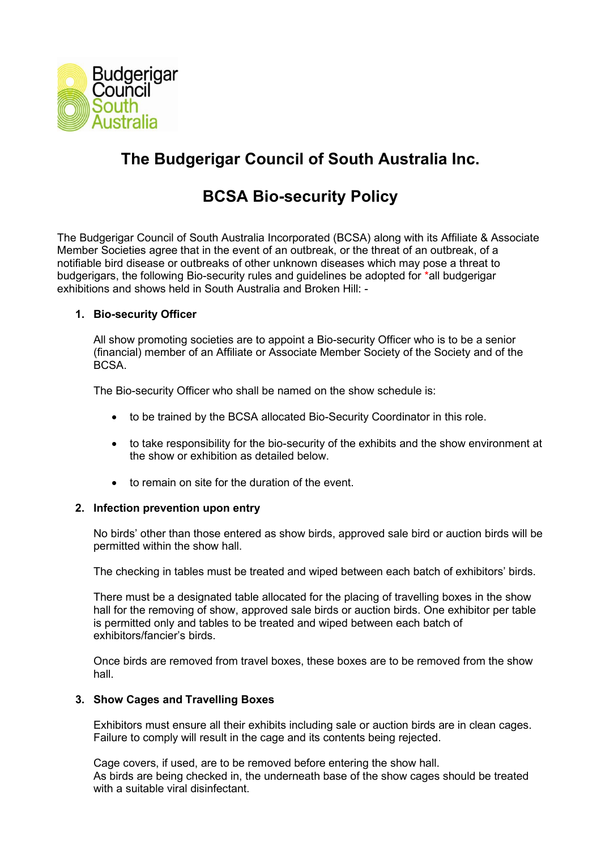

# **The Budgerigar Council of South Australia Inc.**

# **BCSA Bio-security Policy**

The Budgerigar Council of South Australia Incorporated (BCSA) along with its Affiliate & Associate Member Societies agree that in the event of an outbreak, or the threat of an outbreak, of a notifiable bird disease or outbreaks of other unknown diseases which may pose a threat to budgerigars, the following Bio-security rules and guidelines be adopted for \*all budgerigar exhibitions and shows held in South Australia and Broken Hill: -

# **1. Bio-security Officer**

All show promoting societies are to appoint a Bio-security Officer who is to be a senior (financial) member of an Affiliate or Associate Member Society of the Society and of the BCSA.

The Bio-security Officer who shall be named on the show schedule is:

- to be trained by the BCSA allocated Bio-Security Coordinator in this role.
- to take responsibility for the bio-security of the exhibits and the show environment at the show or exhibition as detailed below.
- to remain on site for the duration of the event.

# **2. Infection prevention upon entry**

No birds' other than those entered as show birds, approved sale bird or auction birds will be permitted within the show hall.

The checking in tables must be treated and wiped between each batch of exhibitors' birds.

There must be a designated table allocated for the placing of travelling boxes in the show hall for the removing of show, approved sale birds or auction birds. One exhibitor per table is permitted only and tables to be treated and wiped between each batch of exhibitors/fancier's birds.

Once birds are removed from travel boxes, these boxes are to be removed from the show hall.

# **3. Show Cages and Travelling Boxes**

Exhibitors must ensure all their exhibits including sale or auction birds are in clean cages. Failure to comply will result in the cage and its contents being rejected.

Cage covers, if used, are to be removed before entering the show hall. As birds are being checked in, the underneath base of the show cages should be treated with a suitable viral disinfectant.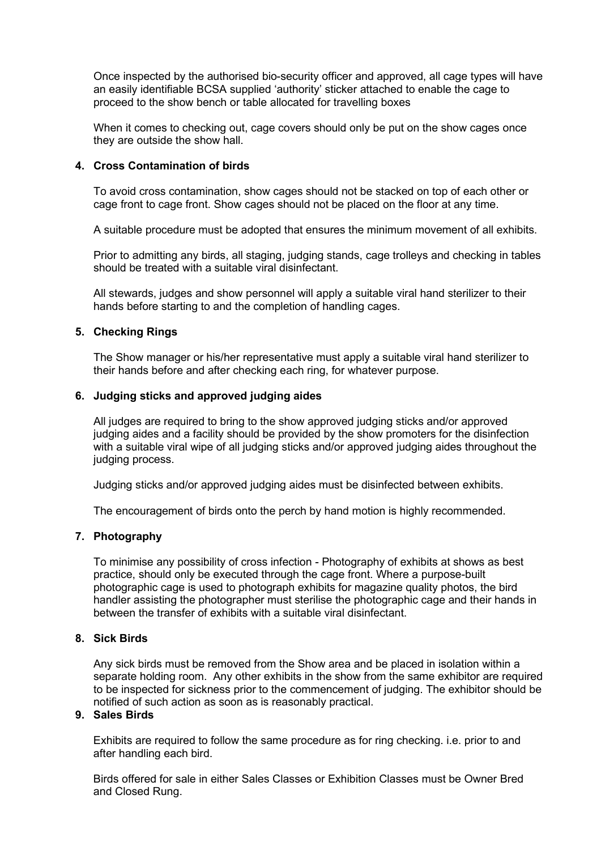Once inspected by the authorised bio-security officer and approved, all cage types will have an easily identifiable BCSA supplied 'authority' sticker attached to enable the cage to proceed to the show bench or table allocated for travelling boxes

When it comes to checking out, cage covers should only be put on the show cages once they are outside the show hall.

# **4. Cross Contamination of birds**

To avoid cross contamination, show cages should not be stacked on top of each other or cage front to cage front. Show cages should not be placed on the floor at any time.

A suitable procedure must be adopted that ensures the minimum movement of all exhibits.

Prior to admitting any birds, all staging, judging stands, cage trolleys and checking in tables should be treated with a suitable viral disinfectant.

All stewards, judges and show personnel will apply a suitable viral hand sterilizer to their hands before starting to and the completion of handling cages.

# **5. Checking Rings**

The Show manager or his/her representative must apply a suitable viral hand sterilizer to their hands before and after checking each ring, for whatever purpose.

### **6. Judging sticks and approved judging aides**

All judges are required to bring to the show approved judging sticks and/or approved judging aides and a facility should be provided by the show promoters for the disinfection with a suitable viral wipe of all judging sticks and/or approved judging aides throughout the judging process.

Judging sticks and/or approved judging aides must be disinfected between exhibits.

The encouragement of birds onto the perch by hand motion is highly recommended.

# **7. Photography**

To minimise any possibility of cross infection - Photography of exhibits at shows as best practice, should only be executed through the cage front. Where a purpose-built photographic cage is used to photograph exhibits for magazine quality photos, the bird handler assisting the photographer must sterilise the photographic cage and their hands in between the transfer of exhibits with a suitable viral disinfectant.

#### **8. Sick Birds**

Any sick birds must be removed from the Show area and be placed in isolation within a separate holding room. Any other exhibits in the show from the same exhibitor are required to be inspected for sickness prior to the commencement of judging. The exhibitor should be notified of such action as soon as is reasonably practical.

# **9. Sales Birds**

Exhibits are required to follow the same procedure as for ring checking. i.e. prior to and after handling each bird.

Birds offered for sale in either Sales Classes or Exhibition Classes must be Owner Bred and Closed Rung.